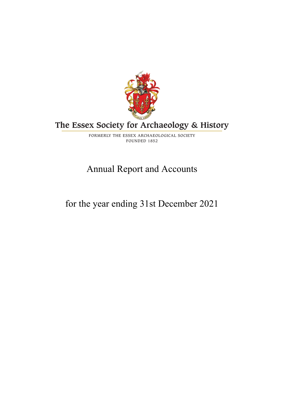

# **The Essex Society for Archaeology & History**

FORMERLY THE ESSEX ARCHAEOLOGICAL SOCIETY FOUNDED 1852

# Annual Report and Accounts

# for the year ending 31st December 2021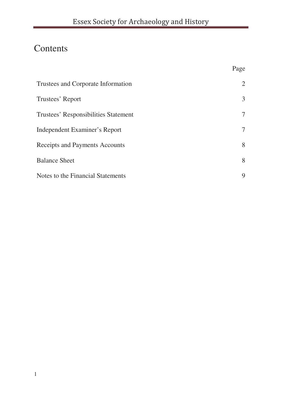Page

# Contents

| Trustees and Corporate Information   | 2 |
|--------------------------------------|---|
| Trustees' Report                     | 3 |
| Trustees' Responsibilities Statement | 7 |
| Independent Examiner's Report        | 7 |
| Receipts and Payments Accounts       |   |
| <b>Balance Sheet</b>                 | 8 |
| Notes to the Financial Statements    | 9 |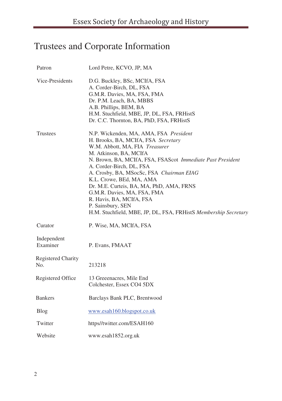# Trustees and Corporate Information

| Patron                    | Lord Petre, KCVO, JP, MA                                                                                                                                                                                                                                                                                                                                                                                                                                                                                   |
|---------------------------|------------------------------------------------------------------------------------------------------------------------------------------------------------------------------------------------------------------------------------------------------------------------------------------------------------------------------------------------------------------------------------------------------------------------------------------------------------------------------------------------------------|
| Vice-Presidents           | D.G. Buckley, BSc, MCIfA, FSA<br>A. Corder-Birch, DL, FSA<br>G.M.R. Davies, MA, FSA, FMA<br>Dr. P.M. Leach, BA, MBBS<br>A.B. Phillips, BEM, BA<br>H.M. Stuchfield, MBE, JP, DL, FSA, FRHistS<br>Dr. C.C. Thornton, BA, PhD, FSA, FRHistS                                                                                                                                                                                                                                                                   |
| <b>Trustees</b>           | N.P. Wickenden, MA, AMA, FSA President<br>H. Brooks, BA, MCIfA, FSA Secretary<br>W.M. Abbott, MA, FIA Treasurer<br>M. Atkinson, BA, MCIfA<br>N. Brown, BA, MCIfA, FSA, FSAScot Immediate Past President<br>A. Corder-Birch, DL, FSA<br>A. Crosby, BA, MSocSc, FSA Chairman EIAG<br>K.L. Crowe, BEd, MA, AMA<br>Dr. M.E. Curteis, BA, MA, PhD, AMA, FRNS<br>G.M.R. Davies, MA, FSA, FMA<br>R. Havis, BA, MCIfA, FSA<br>P. Sainsbury, SEN<br>H.M. Stuchfield, MBE, JP, DL, FSA, FRHistS Membership Secretary |
| Curator                   | P. Wise, MA, MCIfA, FSA                                                                                                                                                                                                                                                                                                                                                                                                                                                                                    |
| Independent<br>Examiner   | P. Evans, FMAAT                                                                                                                                                                                                                                                                                                                                                                                                                                                                                            |
| Registered Charity<br>No. | 213218                                                                                                                                                                                                                                                                                                                                                                                                                                                                                                     |
| Registered Office         | 13 Greeenacres, Mile End<br>Colchester, Essex CO4 5DX                                                                                                                                                                                                                                                                                                                                                                                                                                                      |
| <b>Bankers</b>            | Barclays Bank PLC, Brentwood                                                                                                                                                                                                                                                                                                                                                                                                                                                                               |
| Blog                      | www.esah160.blogspot.co.uk                                                                                                                                                                                                                                                                                                                                                                                                                                                                                 |
| Twitter                   | https//twitter.com/ESAH160                                                                                                                                                                                                                                                                                                                                                                                                                                                                                 |
| Website                   | www.esah1852.org.uk                                                                                                                                                                                                                                                                                                                                                                                                                                                                                        |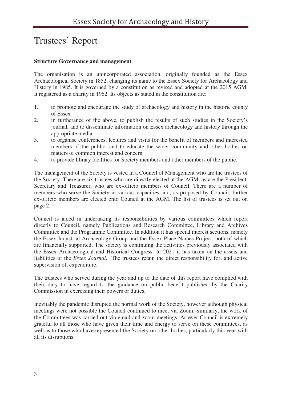## Trustees' Report

### **Structure Governance and management**

The organisation is an unincorporated association, originally founded as the Essex Archaeological Society in 1852, changing its name to the Essex Society for Archaeology and History in 1985. It is governed by a constitution as revised and adopted at the 2015 AGM. It registered as a charity in 1962. Its objects as stated in the constitution are:

- 1. to promote and encourage the study of archaeology and history in the historic county of Essex
- 2. in furtherance of the above, to publish the results of such studies in the Society's journal, and to disseminate information on Essex archaeology and history through the appropriate media
- 3. to organise conferences, lectures and visits for the benefit of members and interested members of the public, and to educate the wider community and other bodies on matters of common interest and concern
- 4. to provide library facilities for Society members and other members of the public.

The management of the Society is vested in a Council of Management who are the trustees of the Society. There are six trustees who are directly elected at the AGM, as are the President, Secretary and Treasurer, who are ex-officio members of Council. There are a number of members who serve the Society in various capacities and, as proposed by Council, further ex-officio members are elected onto Council at the AGM. The list of trustees is set out on page 2.

Council is aided in undertaking its responsibilities by various committees which report directly to Council, namely Publications and Research Committee, Library and Archives Committee and the Programme Committee. In addition it has special interest sections, namely the Essex Industrial Archaeology Group and the Essex Place Names Project, both of which are financially supported. The society is continuing the activities previously associated with the Essex Archaeological and Historical Congress. In 2021 it has taken on the assets and liabilities of the *Essex Journal*. The trustees retain the direct responsibility for, and active supervision of, expenditure.

The trustees who served during the year and up to the date of this report have complied with their duty to have regard to the guidance on public benefit published by the Charity Commission in exercising their powers or duties.

Inevitably the pandemic disrupted the normal work of the Society, however although physical meetings were not possible the Council continued to meet via Zoom. Similarly, the work of the Committees was carried out via email and zoom meetings. As ever Council is extremely grateful to all those who have given their time and energy to serve on these committees, as well as to those who have represented the Society on other bodies, particularly this year with all its disruptions.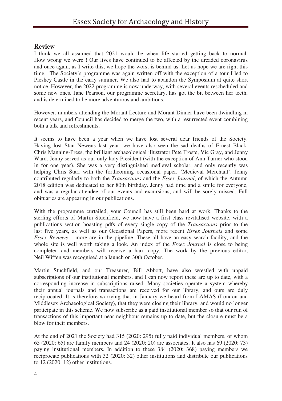## **Review**

I think we all assumed that 2021 would be when life started getting back to normal. How wrong we were ! Our lives have continued to be affected by the dreaded coronavirus and once again, as I write this, we hope the worst is behind us. Let us hope we are right this time. The Society's programme was again written off with the exception of a tour I led to Pleshey Castle in the early summer. We also had to abandon the Symposium at quite short notice. However, the 2022 programme is now underway, with several events rescheduled and some new ones. Jane Pearson, our programme secretary, has got the bit between her teeth, and is determined to be more adventurous and ambitious.

However, numbers attending the Morant Lecture and Morant Dinner have been dwindling in recent years, and Council has decided to merge the two, with a resurrected event combining both a talk and refreshments.

It seems to have been a year when we have lost several dear friends of the Society. Having lost Stan Newens last year, we have also seen the sad deaths of Ernest Black, Chris Manning-Press, the brilliant archaeological illustrator Pete Froste, Vic Gray, and Jenny Ward. Jenny served as our only lady President (with the exception of Ann Turner who stood in for one year). She was a very distinguished medieval scholar, and only recently was helping Chris Starr with the forthcoming occasional paper, 'Medieval Merchant'. Jenny contributed regularly to both the *Transactions* and the *Essex Journal*, of which the Autumn 2018 edition was dedicated to her 80th birthday. Jenny had time and a smile for everyone, and was a regular attendee of our events and excursions, and will be sorely missed. Full obituaries are appearing in our publications.

With the programme curtailed, your Council has still been hard at work. Thanks to the sterling efforts of Martin Stuchfield, we now have a first class revitalised website, with a publications section boasting pdfs of every single copy of the *Transactions* prior to the last five years, as well as our Occasional Papers, more recent *Essex Journals* and some *Essex Reviews* – more are in the pipeline. These all have an easy search facility, and the whole site is well worth taking a look. An index of the *Essex Journal* is close to being completed and members will receive a hard copy. The work by the previous editor, Neil Wiffen was recognised at a launch on 30th October.

Martin Stuchfield, and our Treasurer, Bill Abbott, have also wrestled with unpaid subscriptions of our institutional members, and I can now report these are up to date, with a corresponding increase in subscriptions raised. Many societies operate a system whereby their annual journals and transactions are received for our library, and ours are duly reciprocated. It is therefore worrying that in January we heard from LAMAS (London and Middlesex Archaeological Society), that they were closing their library, and would no longer participate in this scheme. We now subscribe as a paid institutional member so that our run of transactions of this important near neighbour remains up to date, but the closure must be a blow for their members.

At the end of 2021 the Society had 315 (2020: 295) fully paid individual members, of whom 65 (2020: 65) are family members and 24 (2020: 20) are associates. It also has 69 (2020: 73) paying institutional members. In addition to these 384 (2020: 368) paying members we reciprocate publications with 32 (2020: 32) other institutions and distribute our publications to 12 (2020: 12) other institutions.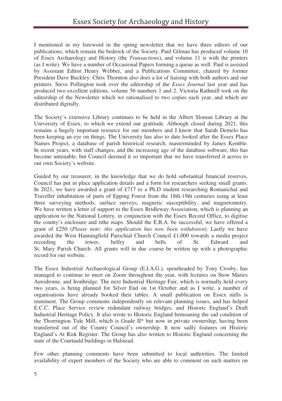I mentioned in my foreword in the spring newsletter that we have three editors of our publications, which remain the bedrock of the Society. Paul Gilman has produced volume 10 of Essex Archaeology and History (the *Transactions*), and volume 11 is with the printers (as I write). We have a number of Occasional Papers forming a queue as well. Paul is assisted by Assistant Editor Henry Webber, and a Publications Committee, chaired by former President Dave Buckley. Chris Thornton also does a lot of liaising with both authors and our printers. Steve Pollington took over the editorship of the *Essex Journal* last year and has produced two excellent editions, volume 56 numbers 1 and 2. Victoria Rathmill took on the editorship of the Newsletter which we rationalised to two copies each year, and which are distributed digitally.

The Society's extensive Library continues to be held in the Albert Sloman Library at the University of Essex, to which we extend our gratitude. Although closed during 2021, this remains a hugely important resource for our members and I know that Sarah Demelo has been keeping an eye on things. The University has also to date looked after the Essex Place Names Project, a database of parish historical research, masterminded by James Kemble. In recent years, with staff changes, and the increasing age of the database software, this has become untenable, but Council deemed it so important that we have transferred it across to our own Society's website.

Guided by our treasurer, in the knowledge that we do hold substantial financial reserves, Council has put in place application details and a form for researchers seeking small grants. In 2021, we have awarded a grant of £717 to a Ph.D student researching Romanichal and Traveller inhabitation of parts of Epping Forest from the 18th-19th centuries using at least three surveying methods, surface surveys, magnetic susceptibility, and magnetometry. We have written a letter of support to the Essex Bridleway Association, which is planning an application to the National Lottery, in conjunction with the Essex Record Office, to digitise the county's enclosure and tithe maps. Should the E.B.A. be successful, we have offered a grant of £250 (*Please note: this application has now been withdrawn*). Lastly we have awarded the West Hanningfield Parochial Church Council £1,000 towards a media project recording the tower, belfry and bells of St. Edward and St. Mary Parish Church. All grants will in due course be written up with a photographic record for our website.

The Essex Industrial Archaeological Group (E.I.A.G.), spearheaded by Tony Crosby, has managed to continue to meet on Zoom throughout the year, with lectures on Stow Maries Aerodrome, and Ironbridge. The next Industrial Heritage Fair, which is normally held every two years, is being planned for Silver End on 1st October and as I write, a number of organisations have already booked their tables. A small publication on Essex mills is imminent. The Group comments independently on relevant planning issues, and has helped E.C.C. Place Service review redundant railway bridges, and Historic England's Draft Industrial Heritage Policy. It also wrote to Historic England bemoaning the sad condition of the Thorrington Tide Mill, which is Grade II\* but now in private ownership, having been transferred out of the County Council's ownership. It now sadly features on Historic England's At Risk Register. The Group has also written to Historic England concerning the state of the Courtauld buildings in Halstead.

Few other planning comments have been submitted to local authorities. The limited availability of expert members of the Society who are able to comment on such matters on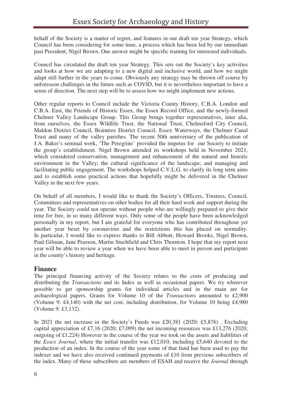behalf of the Society is a matter of regret, and features in our draft ten year Strategy, which Council has been considering for some time, a process which has been led by our immediate past President, Nigel Brown. One answer might be specific training for interested individuals.

Council has circulated the draft ten year Strategy. This sets out the Society's key activities and looks at how we are adapting to a new digital and inclusive world, and how we might adapt still further in the years to come. Obviously any strategy may be thrown off course by unforeseen challenges in the future such as COVID, but it is nevertheless important to have a sense of direction. The next step will be to assess how we might implement new actions.

Other regular reports to Council include the Victoria County History, C.B.A. London and C.B.A. East, the Friends of Historic Essex, the Essex Record Office, and the newly-formed Chelmer Valley Landscape Group. This Group brings together representatives, inter alia, from ourselves, the Essex Wildlife Trust, the National Trust, Chelmsford City Council, Maldon District Council, Braintree District Council, Essex Waterways, the Chelmer Canal Trust and many of the valley parishes. The recent 50th anniversary of the publication of J.A. Baker's seminal work, 'The Peregrine' provided the impetus for our Society to initiate the group's establishment. Nigel Brown attended its workshops held in November 2021, which considered conservation, management and enhancement of the natural and historic environment in the Valley; the cultural significance of the landscape; and managing and facilitating public engagement. The workshops helped C.V.L.G. to clarify its long term aims and to establish some practical actions that hopefully might be delivered in the Chelmer Valley in the next few years.

On behalf of all members, I would like to thank the Society's Officers, Trustees, Council, Committees and representatives on other bodies for all their hard work and support during the year. The Society could not operate without people who are willingly prepared to give their time for free, in so many different ways. Only some of the people have been acknowledged personally in my report, but I am grateful for everyone who has contributed throughout yet another year beset by coronavirus and the restrictions this has placed on normality. In particular, I would like to express thanks to Bill Abbott, Howard Brooks, Nigel Brown, Paul Gilman, Jane Pearson, Martin Stuchfield and Chris Thornton. I hope that my report next year will be able to review a year when we have been able to meet in person and participate in the county's history and heritage.

### **Finance**

The principal financing activity of the Society relates to the costs of producing and distributing the *Transactions* and its Index as well as occasional papers. We try wherever possible to get sponsorship grants for individual articles and in the main are for archaeological papers. Grants for Volume 10 of the *Transactions* amounted to £2,900 (Volume 9: £4,140) with the net cost, including distribution, for Volume 10 being £4,980 (Volume 9: £3,132).

In 2021 the net increase in the Society's Funds was £20,381 (2020; £5,876). Excluding capital appreciation of £7,16 (2020; £7,099) the net incoming resources was £13,276 (2020; outgoing of £1,224) However in the course of the year we took on the assets and liabilities of the *Essex Journal*, where the initial transfer was £12,010, including £5,640 devoted to the production of an index. In the course of the year some of that fund has been used to pay the indexer and we have also received continued payments of £10 from previous subscribers of the index. Many of these subscribers are members of ESAH and receive the *Journal* through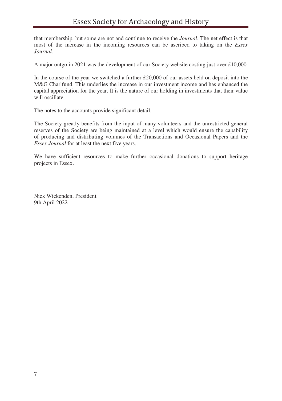that membership, but some are not and continue to receive the *Journal*. The net effect is that most of the increase in the incoming resources can be ascribed to taking on the *Essex Journal*.

A major outgo in 2021 was the development of our Society website costing just over  $\pounds 10,000$ 

In the course of the year we switched a further £20,000 of our assets held on deposit into the M&G Charifund. This underlies the increase in our investment income and has enhanced the capital appreciation for the year. It is the nature of our holding in investments that their value will oscillate.

The notes to the accounts provide significant detail.

The Society greatly benefits from the input of many volunteers and the unrestricted general reserves of the Society are being maintained at a level which would ensure the capability of producing and distributing volumes of the Transactions and Occasional Papers and the *Essex Journal* for at least the next five years.

We have sufficient resources to make further occasional donations to support heritage projects in Essex.

Nick Wickenden, President 9th April 2022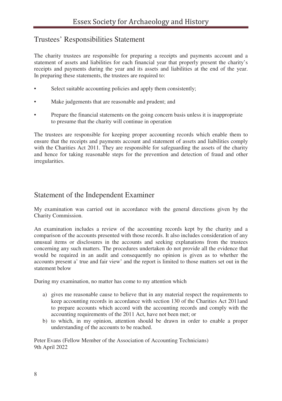## Trustees' Responsibilities Statement

The charity trustees are responsible for preparing a receipts and payments account and a statement of assets and liabilities for each financial year that properly present the charity's receipts and payments during the year and its assets and liabilities at the end of the year. In preparing these statements, the trustees are required to:

- Select suitable accounting policies and apply them consistently;
- Make judgements that are reasonable and prudent; and
- Prepare the financial statements on the going concern basis unless it is inappropriate to presume that the charity will continue in operation

The trustees are responsible for keeping proper accounting records which enable them to ensure that the receipts and payments account and statement of assets and liabilities comply with the Charities Act 2011. They are responsible for safeguarding the assets of the charity and hence for taking reasonable steps for the prevention and detection of fraud and other irregularities.

## Statement of the Independent Examiner

My examination was carried out in accordance with the general directions given by the Charity Commission.

An examination includes a review of the accounting records kept by the charity and a comparison of the accounts presented with those records. It also includes consideration of any unusual items or disclosures in the accounts and seeking explanations from the trustees concerning any such matters. The procedures undertaken do not provide all the evidence that would be required in an audit and consequently no opinion is given as to whether the accounts present a' true and fair view' and the report is limited to those matters set out in the statement below

During my examination, no matter has come to my attention which

- a) gives me reasonable cause to believe that in any material respect the requirements to keep accounting records in accordance with section 130 of the Charities Act 2011and to prepare accounts which accord with the accounting records and comply with the accounting requirements of the 2011 Act, have not been met; or
- b) to which, in my opinion, attention should be drawn in order to enable a proper understanding of the accounts to be reached.

Peter Evans (Fellow Member of the Association of Accounting Technicians) 9th April 2022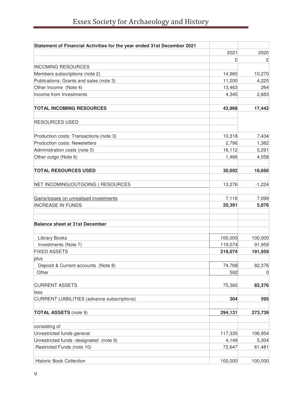| Statement of Financial Activities for the year ended 31st December 2021  |         |          |
|--------------------------------------------------------------------------|---------|----------|
|                                                                          | 2021    | 2020     |
|                                                                          | £       | £        |
| <b>INCOMING RESOURCES</b>                                                |         |          |
| Members subscriptions (note 2)                                           | 14,960  | 10,270   |
| Publications; Grants and sales (note 3)                                  | 11,200  | 4,225    |
| Other Income (Note 4)                                                    | 13,463  | 264      |
| Income from Investments                                                  | 4,345   | 2,683    |
| <b>TOTAL INCOMING RESOURCES</b>                                          | 43,968  | 17,442   |
| <b>RESOURCES USED</b>                                                    |         |          |
|                                                                          | 10,318  | 7,434    |
| Production costs: Transactions (note 3)<br>Production costs: Newsletters | 2,796   | 1,382    |
| Administration costs (note 5)                                            | 16,112  | 5,291    |
| Other outgo (Note 6)                                                     | 1,466   | 4,558    |
|                                                                          |         |          |
| <b>TOTAL RESOURCES USED</b>                                              | 30,692  | 18,666   |
| NET INCOMING(OUTGOING) RESOURCES                                         | 13,276  | $-1,224$ |
| Gains/losses on unrealised investments                                   | 7,116   | 7,099    |
| <b>INCREASE IN FUNDS</b>                                                 | 20,391  | 5,876    |
| <b>Balance sheet at 31st December</b>                                    |         |          |
| <b>Library Books</b>                                                     | 100,000 | 100,000  |
| Investments (Note 7)                                                     | 119,074 | 91,959   |
| <b>FIXED ASSETS</b>                                                      | 219,074 | 191,959  |
| plus                                                                     |         |          |
| Deposit & Current accounts (Note 8)                                      | 74,768  | 82,376   |
| Other                                                                    | 592     | 0        |
| <b>CURRENT ASSETS</b>                                                    | 75,360  | 82,376   |
| less                                                                     |         |          |
| <b>CURRENT LIABILITIES (advance subscriptions)</b>                       | 304     | 595      |
| <b>TOTAL ASSETS (note 9)</b>                                             | 294,131 | 273,739  |
| consisting of                                                            |         |          |
| Unrestricted funds-general                                               | 117,335 | 106,954  |
| Unrestricted funds -designated (note 9)                                  | 4,149   | 5,304    |
| Restricted Funds (note 10)                                               | 72,647  | 61,481   |
| <b>Historic Book Collection</b>                                          | 100,000 | 100,000  |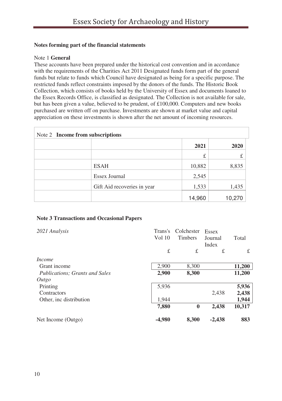### **Notes forming part of the financial statements**

### Note 1 **General**

These accounts have been prepared under the historical cost convention and in accordance with the requirements of the Charities Act 2011 Designated funds form part of the general funds but relate to funds which Council have designated as being for a specific purpose. The restricted funds reflect constraints imposed by the donors of the funds. The Historic Book Collection, which consists of books held by the University of Essex and documents loaned to the Essex Records Office, is classified as designated. The Collection is not available for sale, but has been given a value, believed to be prudent, of £100,000. Computers and new books purchased are written off on purchase. Investments are shown at market value and capital appreciation on these investments is shown after the net amount of incoming resources.

| Note 2 Income from subscriptions |                             |        |        |
|----------------------------------|-----------------------------|--------|--------|
|                                  |                             | 2021   | 2020   |
|                                  |                             | £      | £      |
|                                  | <b>ESAH</b>                 | 10,882 | 8,835  |
|                                  | Essex Journal               | 2,545  |        |
|                                  | Gift Aid recoveries in year | 1,533  | 1,435  |
|                                  |                             | 14,960 | 10,270 |

#### **Note 3 Transactions and Occasional Papers**

| 2021 Analysis                         | Trans's<br>Vol 10 | Colchester<br><b>Timbers</b> | Essex<br>Journal<br>Index | Total  |
|---------------------------------------|-------------------|------------------------------|---------------------------|--------|
|                                       | £                 | £                            | £                         | £      |
| <i>Income</i>                         |                   |                              |                           |        |
| Grant income                          | 2,900             | 8.300                        |                           | 11,200 |
| <b>Publications: Grants and Sales</b> | 2,900             | 8,300                        |                           | 11,200 |
| Outgo                                 |                   |                              |                           |        |
| Printing                              | 5,936             |                              |                           | 5,936  |
| Contractors                           |                   |                              | 2.438                     | 2,438  |
| Other, inc distribution               | 1.944             |                              |                           | 1,944  |
|                                       | 7,880             | $\bf{0}$                     | 2,438                     | 10,317 |
| Net Income (Outgo)                    | -4.980            | 8.300                        | $-2,438$                  | 883    |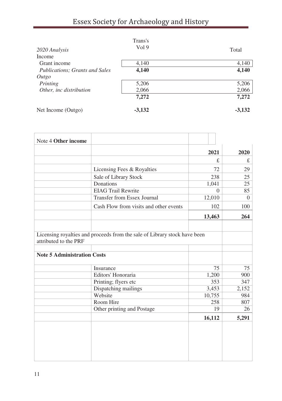# Essex Society for Archaeology and History

| 2020 Analysis<br>Income        | Trans's<br>Vol 9 | Total    |
|--------------------------------|------------------|----------|
| Grant income                   | 4,140            | 4,140    |
| Publications; Grants and Sales | 4,140            | 4,140    |
| Outgo                          |                  |          |
| Printing                       | 5,206            | 5,206    |
| Other, inc distribution        | 2,066            | 2,066    |
|                                | 7,272            | 7,272    |
| Net Income (Outgo)             | $-3,132$         | $-3,132$ |

| Note 4 Other income                |                                                                           |          |          |
|------------------------------------|---------------------------------------------------------------------------|----------|----------|
|                                    |                                                                           | 2021     | 2020     |
|                                    |                                                                           | £.       | £        |
|                                    | Licensing Fees & Royalties                                                | 72       | 29       |
|                                    | Sale of Library Stock                                                     | 238      | 25       |
|                                    | Donations                                                                 | 1,041    | 25       |
|                                    | <b>EIAG Trail Rewrite</b>                                                 | $\Omega$ | 85       |
|                                    | Transfer from Essex Journal                                               | 12,010   | $\Omega$ |
|                                    | Cash Flow from visits and other events                                    | 102      | 100      |
|                                    |                                                                           | 13,463   | 264      |
|                                    |                                                                           |          |          |
| attributed to the PRF              | Licensing royalties and proceeds from the sale of Library stock have been |          |          |
|                                    |                                                                           |          |          |
| <b>Note 5 Administration Costs</b> |                                                                           |          |          |
|                                    | Insurance                                                                 | 75       | 75       |
|                                    | Editors' Honoraria                                                        | 1,200    | 900      |
|                                    | Printing; flyers etc                                                      | 353      | 347      |
|                                    | Dispatching mailings                                                      | 3,453    | 2,152    |
|                                    | Website                                                                   | 10,755   | 984      |
|                                    | Room Hire                                                                 | 258      | 807      |
|                                    | Other printing and Postage                                                | 19       | 26       |
|                                    |                                                                           | 16,112   | 5,291    |
|                                    |                                                                           |          |          |
|                                    |                                                                           |          |          |
|                                    |                                                                           |          |          |
|                                    |                                                                           |          |          |
|                                    |                                                                           |          |          |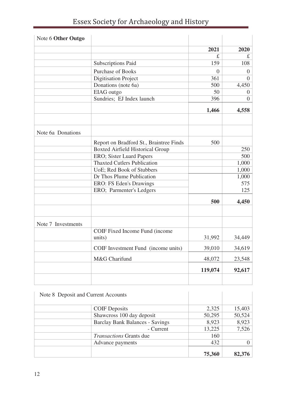| Essex Society for Archaeology and History |  |  |
|-------------------------------------------|--|--|
|-------------------------------------------|--|--|

| Note 6 Other Outgo |                                         |          |          |
|--------------------|-----------------------------------------|----------|----------|
|                    |                                         | 2021     | 2020     |
|                    |                                         | £.       | £.       |
|                    | Subscriptions Paid                      | 159      | 108      |
|                    | <b>Purchase of Books</b>                | $\Omega$ | $\Omega$ |
|                    | Digitisation Project                    | 361      | $\Omega$ |
|                    | Donations (note 6a)                     | 500      | 4,450    |
|                    | EIAG outgo                              | 50       | 0        |
|                    | Sundries; EJ Index launch               | 396      | $\Omega$ |
|                    |                                         | 1,466    | 4,558    |
| Note 6a Donations  |                                         |          |          |
|                    |                                         |          |          |
|                    | Report on Bradford St., Braintree Finds | 500      |          |
|                    | <b>Boxted Airfield Historical Group</b> |          | 250      |
|                    | ERO; Sister Luard Papers                |          | 500      |
|                    | <b>Thaxted Cutlers Publication</b>      |          | 1,000    |
|                    | UoE: Red Book of Stubbers               |          | 1,000    |
|                    | Dr Thos Plume Publication               |          | 1,000    |
|                    | ERO: FS Eden's Drawings                 |          | 575      |
|                    | ERO; Parmenter's Ledgers                |          | 125      |
|                    |                                         | 500      | 4,450    |
|                    |                                         |          |          |
| Note 7 Investments |                                         |          |          |
|                    | COIF Fixed Income Fund (income          |          |          |
|                    | units)                                  | 31,992   | 34,449   |
|                    | COIF Investment Fund (income units)     | 39,010   | 34,619   |
|                    | M&G Charifund                           | 48,072   | 23,548   |
|                    |                                         | 119,074  | 92,617   |
|                    |                                         |          |          |

| Note 8 Deposit and Current Accounts |                                 |        |        |
|-------------------------------------|---------------------------------|--------|--------|
|                                     | <b>COIF</b> Deposits            | 2,325  | 15,403 |
|                                     | Shawcross 100 day deposit       | 50,295 | 50,524 |
|                                     | Barclay Bank Balances - Savings | 8,923  | 8,923  |
|                                     | - Current                       | 13,225 | 7,526  |
|                                     | <i>Transactions</i> Grants due  | 160    |        |
|                                     | Advance payments                | 432    |        |
|                                     |                                 | 75,360 | 82,376 |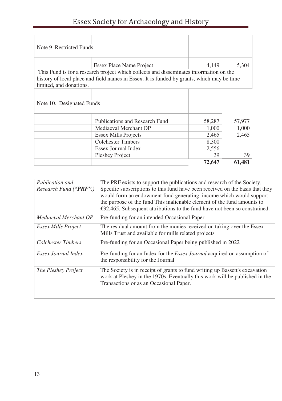# Essex Society for Archaeology and History

| Note 9 Restricted Funds   |                                                                                            |        |        |
|---------------------------|--------------------------------------------------------------------------------------------|--------|--------|
|                           |                                                                                            |        |        |
|                           | Essex Place Name Project                                                                   | 4,149  | 5,304  |
|                           | This Fund is for a research project which collects and disseminates information on the     |        |        |
|                           | history of local place and field names in Essex. It is funded by grants, which may be time |        |        |
| limited, and donations.   |                                                                                            |        |        |
|                           |                                                                                            |        |        |
| Note 10. Designated Funds |                                                                                            |        |        |
|                           |                                                                                            |        |        |
|                           | Publications and Research Fund                                                             | 58,287 | 57,977 |
|                           | Mediaeval Merchant OP                                                                      | 1.000  | 1.000  |
|                           | <b>Essex Mills Projects</b>                                                                | 2,465  | 2.465  |
|                           | Colchester Timbers                                                                         | 8,300  |        |
|                           | Essex Journal Index                                                                        | 2,556  |        |
|                           | Pleshey Project                                                                            | 39     | 39     |
|                           |                                                                                            | 72,647 | 61.481 |

| Publication and<br>Research Fund ("PRF".) | The PRF exists to support the publications and research of the Society.<br>Specific subscriptions to this fund have been received on the basis that they<br>would form an endowment fund generating income which would support<br>the purpose of the fund This inalienable element of the fund amounts to<br>£32,465. Subsequent attributions to the fund have not been so constrained. |
|-------------------------------------------|-----------------------------------------------------------------------------------------------------------------------------------------------------------------------------------------------------------------------------------------------------------------------------------------------------------------------------------------------------------------------------------------|
| Mediaeval Merchant OP                     | Pre-funding for an intended Occasional Paper                                                                                                                                                                                                                                                                                                                                            |
| Essex Mills Project                       | The residual amount from the monies received on taking over the Essex<br>Mills Trust and available for mills related projects                                                                                                                                                                                                                                                           |
| Colchester Timbers                        | Pre-funding for an Occasional Paper being published in 2022                                                                                                                                                                                                                                                                                                                             |
| Essex Journal Index                       | Pre-funding for an Index for the <i>Essex Journal</i> acquired on assumption of<br>the responsibility for the Journal                                                                                                                                                                                                                                                                   |
| The Pleshey Project                       | The Society is in receipt of grants to fund writing up Bassett's excavation<br>work at Pleshey in the 1970s. Eventually this work will be published in the<br>Transactions or as an Occasional Paper.                                                                                                                                                                                   |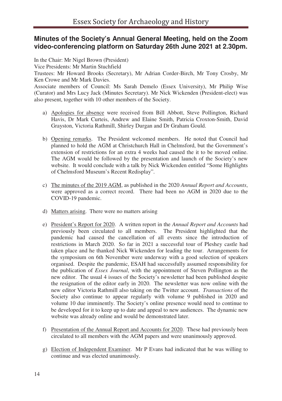## **Minutes of the Society's Annual General Meeting, held on the Zoom video-conferencing platform on Saturday 26th June 2021 at 2.30pm.**

In the Chair: Mr Nigel Brown (President)

Vice Presidents: Mr Martin Stuchfield

Trustees: Mr Howard Brooks (Secretary), Mr Adrian Corder-Birch, Mr Tony Crosby, Mr Ken Crowe and Mr Mark Davies.

Associate members of Council: Ms Sarah Demelo (Essex University), Mr Philip Wise (Curator) and Mrs Lucy Jack (Minutes Secretary). Mr Nick Wickenden (President-elect) was also present, together with 10 other members of the Society.

- a) Apologies for absence were received from Bill Abbott, Steve Pollington, Richard Havis, Dr Mark Curteis, Andrew and Elaine Smith, Patricia Croxton-Smith, David Grayston, Victoria Rathmill, Shirley Durgan and Dr Graham Gould.
- b) Opening remarks. The President welcomed members. He noted that Council had planned to hold the AGM at Christchurch Hall in Chelmsford, but the Government's extension of restrictions for an extra 4 weeks had caused the it to be moved online. The AGM would be followed by the presentation and launch of the Society's new website. It would conclude with a talk by Nick Wickenden entitled "Some Highlights of Chelmsford Museum's Recent Redisplay".
- c) The minutes of the 2019 AGM, as published in the 2020 *Annual Report and Accounts*, were approved as a correct record. There had been no AGM in 2020 due to the COVID-19 pandemic.
- d) Matters arising. There were no matters arising
- e) President's Report for 2020. A written report in the *Annual Report and Accounts* had previously been circulated to all members. The President highlighted that the pandemic had caused the cancellation of all events since the introduction of restrictions in March 2020. So far in 2021 a successful tour of Pleshey castle had taken place and he thanked Nick Wickenden for leading the tour. Arrangements for the symposium on 6th November were underway with a good selection of speakers organised. Despite the pandemic, ESAH had successfully assumed responsibility for the publication of *Essex Journal*, with the appointment of Steven Pollington as the new editor. The usual 4 issues of the Society's newsletter had been published despite the resignation of the editor early in 2020. The newsletter was now online with the new editor Victoria Rathmill also taking on the Twitter account. *Transactions* of the Society also continue to appear regularly with volume 9 published in 2020 and volume 10 due imminently. The Society's online presence would need to continue to be developed for it to keep up to date and appeal to new audiences. The dynamic new website was already online and would be demonstrated later.
- f) Presentation of the Annual Report and Accounts for 2020. These had previously been circulated to all members with the AGM papers and were unanimously approved.
- g) Election of Independent Examiner. Mr P Evans had indicated that he was willing to continue and was elected unanimously.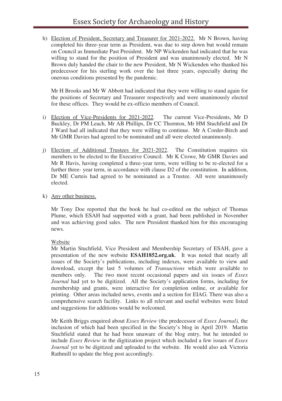h) Election of President, Secretary and Treasurer for 2021-2022. Mr N Brown, having completed his three-year term as President, was due to step down but would remain on Council as Immediate Past President. Mr NP Wickenden had indicated that he was willing to stand for the position of President and was unanimously elected. Mr N Brown duly handed the chair to the new President, Mr N Wickenden who thanked his predecessor for his sterling work over the last three years, especially during the onerous conditions presented by the pandemic.

Mr H Brooks and Mr W Abbott had indicated that they were willing to stand again for the positions of Secretary and Treasurer respectively and were unanimously elected for these offices. They would be ex-officio members of Council.

- i) Election of Vice-Presidents for 2021-2022. The current Vice-Presidents, Mr D Buckley, Dr PM Leach, Mr AB Phillips, Dr CC Thornton, Mr HM Stuchfield and Dr J Ward had all indicated that they were willing to continue. Mr A Corder-Birch and Mr GMR Davies had agreed to be nominated and all were elected unanimously.
- j) Election of Additional Trustees for 2021-2022. The Constitution requires six members to be elected to the Executive Council. Mr K Crowe, Mr GMR Davies and Mr R Havis, having completed a three-year term, were willing to be re-elected for a further three- year term, in accordance with clause D2 of the constitution. In addition, Dr ME Curteis had agreed to be nominated as a Trustee. All were unanimously elected.
- k) Any other business.

Mr Tony Doe reported that the book he had co-edited on the subject of Thomas Plume, which ESAH had supported with a grant, had been published in November and was achieving good sales. The new President thanked him for this encouraging news.

#### Website

Mr Martin Stuchfield, Vice President and Membership Secretary of ESAH, gave a presentation of the new website **ESAH1852.org.uk**. It was noted that nearly all issues of the Society's publications, including indexes, were available to view and download, except the last 5 volumes of *Transactions* which were available to members only. The two most recent occasional papers and six issues of *Essex Journal* had yet to be digitized. All the Society's application forms, including for membership and grants, were interactive for completion online, or available for printing. Other areas included news, events and a section for EIAG. There was also a comprehensive search facility. Links to all relevant and useful websites were listed and suggestions for additions would be welcomed.

Mr Keith Briggs enquired about *Essex Review* (the predecessor of *Essex Journal),* the inclusion of which had been specified in the Society's blog in April 2019. Martin Stuchfield stated that he had been unaware of the blog entry, but he intended to include *Essex Review* in the digitization project which included a few issues of *Essex Journal* yet to be digitized and uploaded to the website. He would also ask Victoria Rathmill to update the blog post accordingly.